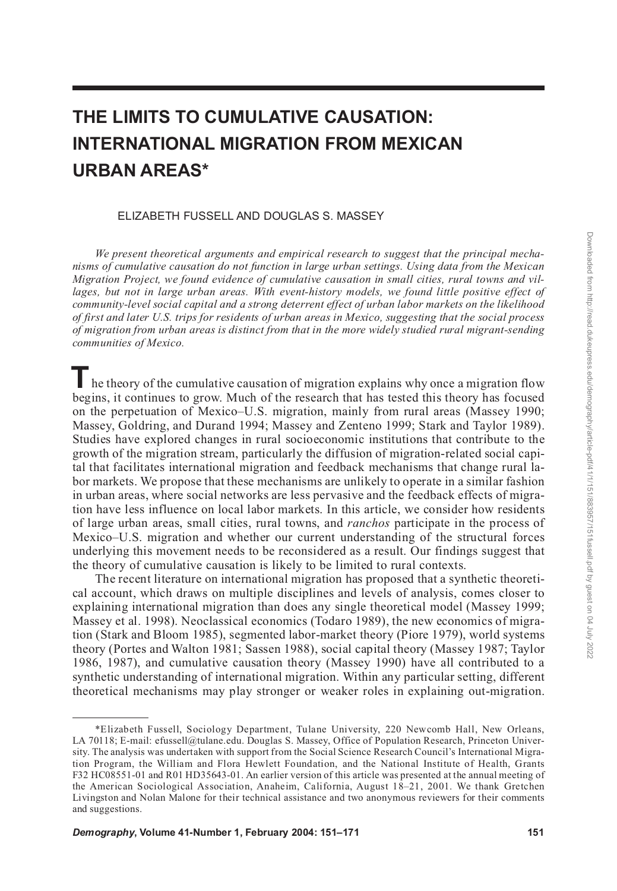# THE LIMITS TO CUMULATIVE CAUSATION: **INTERNATIONAL MIGRATION FROM MEXICAN INTERNATIONAL MIGRATION FROM MEXICAN URBAN AREAS\***

### ELIZABETH FUSSELL AND DOUGLAS S. MASSEY

*We present theoretical arguments and empirical research to suggest that the principal mechanisms of cumulative causation do not function in large urban settings. Using data from the Mexican Migration Project, we found evidence of cumulative causation in small cities, rural towns and villages, but not in large urban areas. With event-history models, we found little positive effect of community-level social capital and a strong deterrent effect of urban labor markets on the likelihood of first and later U.S. trips for residents of urban areas in Mexico, suggesting that the social process of migration from urban areas is distinct from that in the more widely studied rural migrant-sending communities of Mexico.*

begins, it continues to grow. Much of the research that has tested this theory has focused<br>on the perpetuation of Mexico–U.S. migration, mainly from rural areas (Massey 1990; he theory of the cumulative causation of migration explains why once a migration flow on the perpetuation of Mexico–U.S. migration, mainly from rural areas (Massey 1990; Massey, Goldring, and Durand 1994; Massey and Zenteno 1999; Stark and Taylor 1989). Studies have explored changes in rural socioeconomic institutions that contribute to the growth of the migration stream, particularly the diffusion of migration-related social capital that facilitates international migration and feedback mechanisms that change rural labor markets. We propose that these mechanisms are unlikely to operate in a similar fashion in urban areas, where social networks are less pervasive and the feedback effects of migration have less influence on local labor markets. In this article, we consider how residents of large urban areas, small cities, rural towns, and *ranchos* participate in the process of Mexico–U.S. migration and whether our current understanding of the structural forces underlying this movement needs to be reconsidered as a result. Our findings suggest that the theory of cumulative causation is likely to be limited to rural contexts.

The recent literature on international migration has proposed that a synthetic theoretical account, which draws on multiple disciplines and levels of analysis, comes closer to explaining international migration than does any single theoretical model (Massey 1999; Massey et al. 1998). Neoclassical economics (Todaro 1989), the new economics of migration (Stark and Bloom 1985), segmented labor-market theory (Piore 1979), world systems theory (Portes and Walton 1981; Sassen 1988), social capital theory (Massey 1987; Taylor 1986, 1987), and cumulative causation theory (Massey 1990) have all contributed to a synthetic understanding of international migration. Within any particular setting, different theoretical mechanisms may play stronger or weaker roles in explaining out-migration.

<sup>\*</sup>Elizabeth Fussell, Sociology Department, Tulane University, 220 Newcomb Hall, New Orleans, LA 70118; E-mail: efussell@tulane.edu. Douglas S. Massey, Office of Population Research, Princeton University. The analysis was undertaken with support from the Social Science Research Council's International Migration Program, the William and Flora Hewlett Foundation, and the National Institute of Health, Grants F32 HC08551-01 and R01 HD35643-01. An earlier version of this article was presented at the annual meeting of the American Sociological Association, Anaheim, California, August 18–21, 2001. We thank Gretchen Livingston and Nolan Malone for their technical assistance and two anonymous reviewers for their comments and suggestions.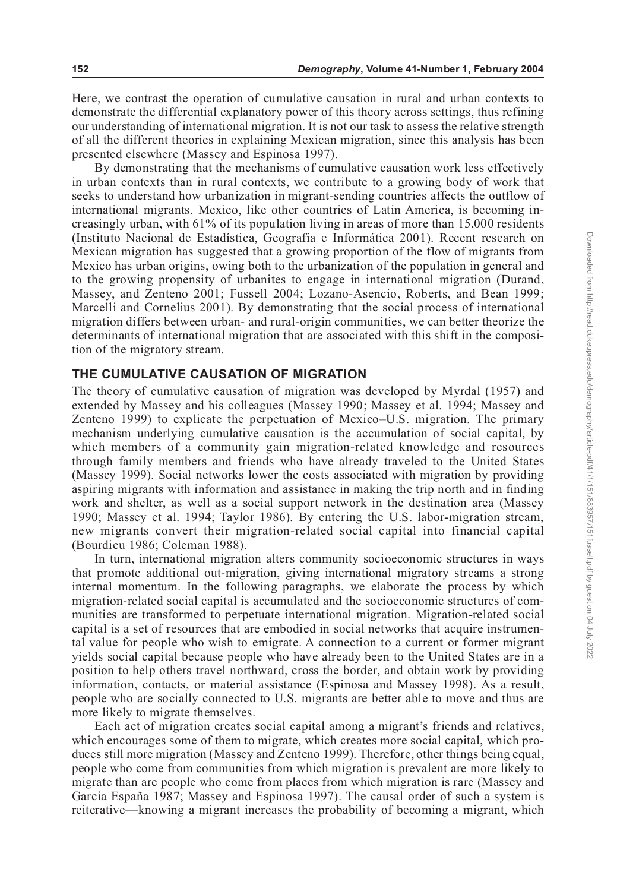Here, we contrast the operation of cumulative causation in rural and urban contexts to demonstrate the differential explanatory power of this theory across settings, thus refining our understanding of international migration. It is not our task to assess the relative strength of all the different theories in explaining Mexican migration, since this analysis has been presented elsewhere (Massey and Espinosa 1997).

By demonstrating that the mechanisms of cumulative causation work less effectively in urban contexts than in rural contexts, we contribute to a growing body of work that seeks to understand how urbanization in migrant-sending countries affects the outflow of international migrants. Mexico, like other countries of Latin America, is becoming increasingly urban, with 61% of its population living in areas of more than 15,000 residents (Instituto Nacional de Estadística, Geografia e Informática 2001). Recent research on Mexican migration has suggested that a growing proportion of the flow of migrants from Mexico has urban origins, owing both to the urbanization of the population in general and to the growing propensity of urbanites to engage in international migration (Durand, Massey, and Zenteno 2001; Fussell 2004; Lozano-Asencio, Roberts, and Bean 1999; Marcelli and Cornelius 2001). By demonstrating that the social process of international migration differs between urban- and rural-origin communities, we can better theorize the determinants of international migration that are associated with this shift in the composition of the migratory stream.

The theory of cumulative causation of migration was developed by Myrdal (1957) and extended by Massey and his colleagues (Massey 1990; Massey et al. 1994; Massey and Zenteno 1999) to explicate the perpetuation of Mexico–U.S. migration. The primary mechanism underlying cumulative causation is the accumulation of social capital, by which members of a community gain migration-related knowledge and resources through family members and friends who have already traveled to the United States (Massey 1999). Social networks lower the costs associated with migration by providing aspiring migrants with information and assistance in making the trip north and in finding work and shelter, as well as a social support network in the destination area (Massey 1990; Massey et al. 1994; Taylor 1986). By entering the U.S. labor-migration stream, new migrants convert their migration-related social capital into financial capital (Bourdieu 1986; Coleman 1988).

In turn, international migration alters community socioeconomic structures in ways that promote additional out-migration, giving international migratory streams a strong internal momentum. In the following paragraphs, we elaborate the process by which migration-related social capital is accumulated and the socioeconomic structures of communities are transformed to perpetuate international migration. Migration-related social capital is a set of resources that are embodied in social networks that acquire instrumental value for people who wish to emigrate. A connection to a current or former migrant yields social capital because people who have already been to the United States are in a position to help others travel northward, cross the border, and obtain work by providing information, contacts, or material assistance (Espinosa and Massey 1998). As a result, people who are socially connected to U.S. migrants are better able to move and thus are more likely to migrate themselves.

Each act of migration creates social capital among a migrant's friends and relatives, which encourages some of them to migrate, which creates more social capital, which produces still more migration (Massey and Zenteno 1999). Therefore, other things being equal, people who come from communities from which migration is prevalent are more likely to migrate than are people who come from places from which migration is rare (Massey and García España 1987; Massey and Espinosa 1997). The causal order of such a system is reiterative—knowing a migrant increases the probability of becoming a migrant, which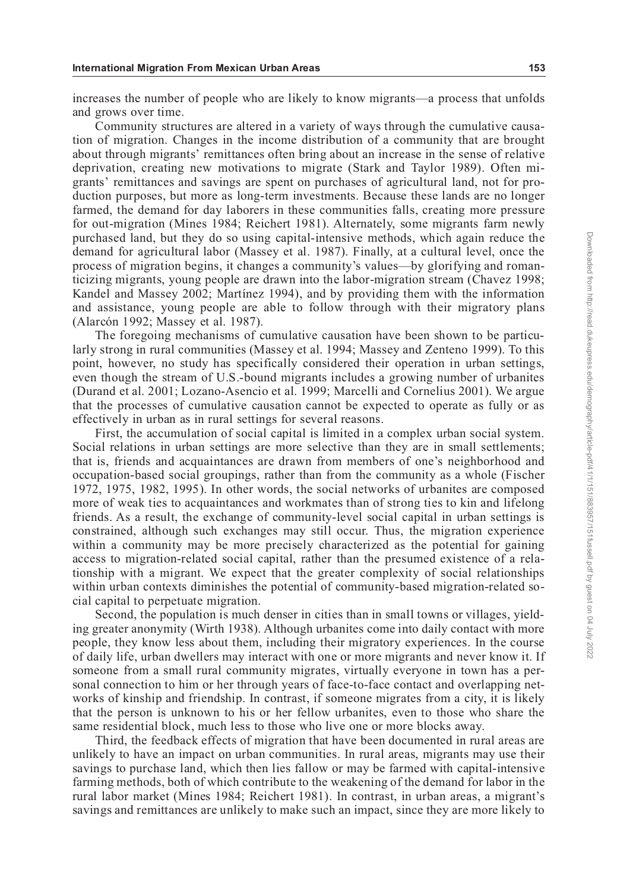increases the number of people who are likely to know migrants—a process that unfolds and grows over time.

Community structures are altered in a variety of ways through the cumulative causation of migration. Changes in the income distribution of a community that are brought about through migrants' remittances often bring about an increase in the sense of relative deprivation, creating new motivations to migrate (Stark and Taylor 1989). Often migrants' remittances and savings are spent on purchases of agricultural land, not for production purposes, but more as long-term investments. Because these lands are no longer farmed, the demand for day laborers in these communities falls, creating more pressure for out-migration (Mines 1984; Reichert 1981). Alternately, some migrants farm newly purchased land, but they do so using capital-intensive methods, which again reduce the demand for agricultural labor (Massey et al. 1987). Finally, at a cultural level, once the process of migration begins, it changes a community's values—by glorifying and romanticizing migrants, young people are drawn into the labor-migration stream (Chavez 1998; Kandel and Massey 2002; Martínez 1994), and by providing them with the information and assistance, young people are able to follow through with their migratory plans (Alarcón 1992; Massey et al. 1987).

The foregoing mechanisms of cumulative causation have been shown to be particularly strong in rural communities (Massey et al. 1994; Massey and Zenteno 1999). To this point, however, no study has specifically considered their operation in urban settings, even though the stream of U.S.-bound migrants includes a growing number of urbanites (Durand et al. 2001; Lozano-Asencio et al. 1999; Marcelli and Cornelius 2001). We argue that the processes of cumulative causation cannot be expected to operate as fully or as effectively in urban as in rural settings for several reasons.

First, the accumulation of social capital is limited in a complex urban social system. Social relations in urban settings are more selective than they are in small settlements; that is, friends and acquaintances are drawn from members of one's neighborhood and occupation-based social groupings, rather than from the community as a whole (Fischer 1972, 1975, 1982, 1995). In other words, the social networks of urbanites are composed more of weak ties to acquaintances and workmates than of strong ties to kin and lifelong friends. As a result, the exchange of community-level social capital in urban settings is constrained, although such exchanges may still occur. Thus, the migration experience within a community may be more precisely characterized as the potential for gaining access to migration-related social capital, rather than the presumed existence of a relationship with a migrant. We expect that the greater complexity of social relationships within urban contexts diminishes the potential of community-based migration-related social capital to perpetuate migration.

Second, the population is much denser in cities than in small towns or villages, yielding greater anonymity (Wirth 1938). Although urbanites come into daily contact with more people, they know less about them, including their migratory experiences. In the course of daily life, urban dwellers may interact with one or more migrants and never know it. If someone from a small rural community migrates, virtually everyone in town has a personal connection to him or her through years of face-to-face contact and overlapping networks of kinship and friendship. In contrast, if someone migrates from a city, it is likely that the person is unknown to his or her fellow urbanites, even to those who share the same residential block, much less to those who live one or more blocks away.

Third, the feedback effects of migration that have been documented in rural areas are unlikely to have an impact on urban communities. In rural areas, migrants may use their savings to purchase land, which then lies fallow or may be farmed with capital-intensive farming methods, both of which contribute to the weakening of the demand for labor in the rural labor market (Mines 1984; Reichert 1981). In contrast, in urban areas, a migrant's savings and remittances are unlikely to make such an impact, since they are more likely to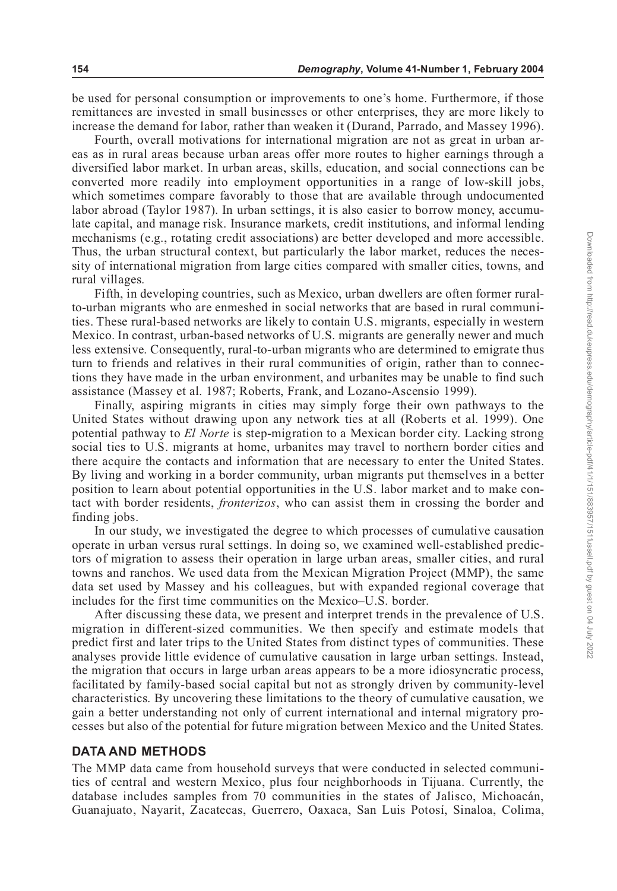be used for personal consumption or improvements to one's home. Furthermore, if those remittances are invested in small businesses or other enterprises, they are more likely to increase the demand for labor, rather than weaken it (Durand, Parrado, and Massey 1996).

Fourth, overall motivations for international migration are not as great in urban areas as in rural areas because urban areas offer more routes to higher earnings through a diversified labor market. In urban areas, skills, education, and social connections can be converted more readily into employment opportunities in a range of low-skill jobs, which sometimes compare favorably to those that are available through undocumented labor abroad (Taylor 1987). In urban settings, it is also easier to borrow money, accumulate capital, and manage risk. Insurance markets, credit institutions, and informal lending mechanisms (e.g., rotating credit associations) are better developed and more accessible. Thus, the urban structural context, but particularly the labor market, reduces the necessity of international migration from large cities compared with smaller cities, towns, and rural villages.

Fifth, in developing countries, such as Mexico, urban dwellers are often former ruralto-urban migrants who are enmeshed in social networks that are based in rural communities. These rural-based networks are likely to contain U.S. migrants, especially in western Mexico. In contrast, urban-based networks of U.S. migrants are generally newer and much less extensive. Consequently, rural-to-urban migrants who are determined to emigrate thus turn to friends and relatives in their rural communities of origin, rather than to connections they have made in the urban environment, and urbanites may be unable to find such assistance (Massey et al. 1987; Roberts, Frank, and Lozano-Ascensio 1999).

Finally, aspiring migrants in cities may simply forge their own pathways to the United States without drawing upon any network ties at all (Roberts et al. 1999). One potential pathway to *El Norte* is step-migration to a Mexican border city. Lacking strong social ties to U.S. migrants at home, urbanites may travel to northern border cities and there acquire the contacts and information that are necessary to enter the United States. By living and working in a border community, urban migrants put themselves in a better position to learn about potential opportunities in the U.S. labor market and to make contact with border residents, *fronterizos*, who can assist them in crossing the border and finding jobs.

In our study, we investigated the degree to which processes of cumulative causation operate in urban versus rural settings. In doing so, we examined well-established predictors of migration to assess their operation in large urban areas, smaller cities, and rural towns and ranchos. We used data from the Mexican Migration Project (MMP), the same data set used by Massey and his colleagues, but with expanded regional coverage that includes for the first time communities on the Mexico–U.S. border.

After discussing these data, we present and interpret trends in the prevalence of U.S. migration in different-sized communities. We then specify and estimate models that predict first and later trips to the United States from distinct types of communities. These analyses provide little evidence of cumulative causation in large urban settings. Instead, the migration that occurs in large urban areas appears to be a more idiosyncratic process, facilitated by family-based social capital but not as strongly driven by community-level characteristics. By uncovering these limitations to the theory of cumulative causation, we gain a better understanding not only of current international and internal migratory processes but also of the potential for future migration between Mexico and the United States.

# **DATA AND METHODS**

The MMP data came from household surveys that were conducted in selected communities of central and western Mexico, plus four neighborhoods in Tijuana. Currently, the database includes samples from 70 communities in the states of Jalisco, Michoacán, Guanajuato, Nayarit, Zacatecas, Guerrero, Oaxaca, San Luis Potosí, Sinaloa, Colima,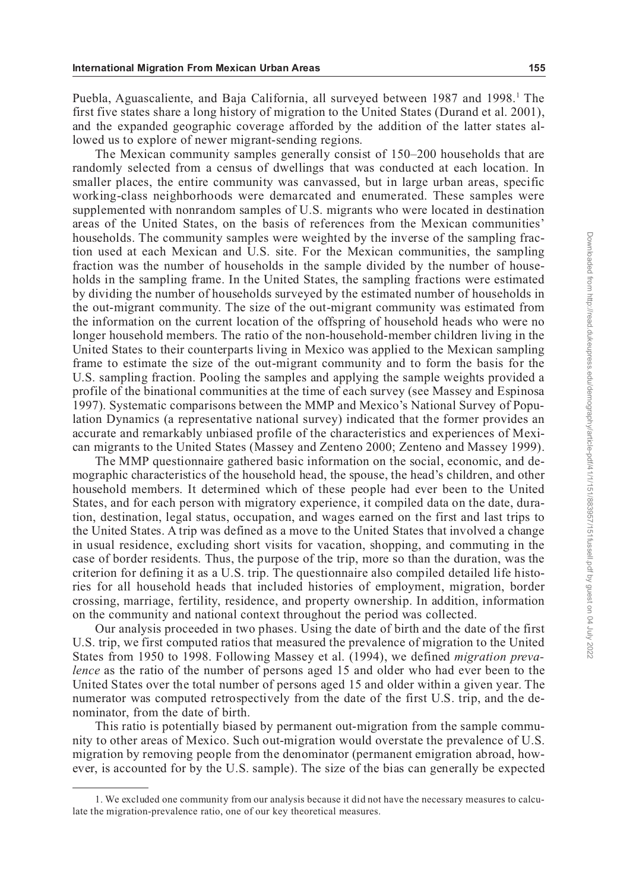Puebla, Aguascaliente, and Baja California, all surveyed between 1987 and 1998.<sup>1</sup> The first five states share a long history of migration to the United States (Durand et al. 2001), and the expanded geographic coverage afforded by the addition of the latter states allowed us to explore of newer migrant-sending regions.

The Mexican community samples generally consist of 150–200 households that are randomly selected from a census of dwellings that was conducted at each location. In smaller places, the entire community was canvassed, but in large urban areas, specific working-class neighborhoods were demarcated and enumerated. These samples were supplemented with nonrandom samples of U.S. migrants who were located in destination areas of the United States, on the basis of references from the Mexican communities' households. The community samples were weighted by the inverse of the sampling fraction used at each Mexican and U.S. site. For the Mexican communities, the sampling fraction was the number of households in the sample divided by the number of households in the sampling frame. In the United States, the sampling fractions were estimated by dividing the number of households surveyed by the estimated number of households in the out-migrant community. The size of the out-migrant community was estimated from the information on the current location of the offspring of household heads who were no longer household members. The ratio of the non-household-member children living in the United States to their counterparts living in Mexico was applied to the Mexican sampling frame to estimate the size of the out-migrant community and to form the basis for the U.S. sampling fraction. Pooling the samples and applying the sample weights provided a profile of the binational communities at the time of each survey (see Massey and Espinosa 1997). Systematic comparisons between the MMP and Mexico's National Survey of Population Dynamics (a representative national survey) indicated that the former provides an accurate and remarkably unbiased profile of the characteristics and experiences of Mexican migrants to the United States (Massey and Zenteno 2000; Zenteno and Massey 1999).

The MMP questionnaire gathered basic information on the social, economic, and demographic characteristics of the household head, the spouse, the head's children, and other household members. It determined which of these people had ever been to the United States, and for each person with migratory experience, it compiled data on the date, duration, destination, legal status, occupation, and wages earned on the first and last trips to the United States. A trip was defined as a move to the United States that involved a change in usual residence, excluding short visits for vacation, shopping, and commuting in the case of border residents. Thus, the purpose of the trip, more so than the duration, was the criterion for defining it as a U.S. trip. The questionnaire also compiled detailed life histories for all household heads that included histories of employment, migration, border crossing, marriage, fertility, residence, and property ownership. In addition, information on the community and national context throughout the period was collected.

Our analysis proceeded in two phases. Using the date of birth and the date of the first U.S. trip, we first computed ratios that measured the prevalence of migration to the United States from 1950 to 1998. Following Massey et al. (1994), we defined *migration prevalence* as the ratio of the number of persons aged 15 and older who had ever been to the United States over the total number of persons aged 15 and older within a given year. The numerator was computed retrospectively from the date of the first U.S. trip, and the denominator, from the date of birth.

This ratio is potentially biased by permanent out-migration from the sample community to other areas of Mexico. Such out-migration would overstate the prevalence of U.S. migration by removing people from the denominator (permanent emigration abroad, however, is accounted for by the U.S. sample). The size of the bias can generally be expected

<sup>1.</sup> We excluded one community from our analysis because it did not have the necessary measures to calculate the migration-prevalence ratio, one of our key theoretical measures.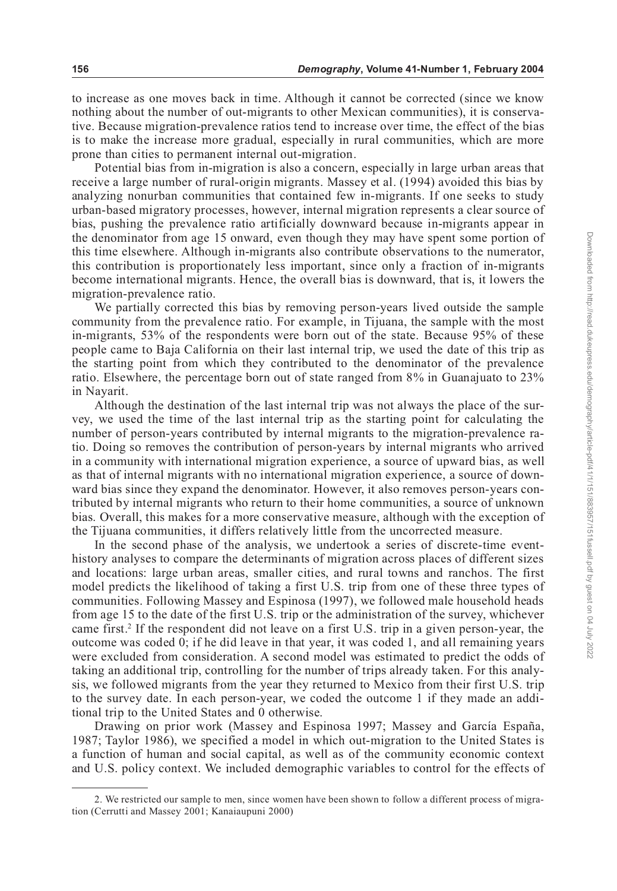to increase as one moves back in time. Although it cannot be corrected (since we know nothing about the number of out-migrants to other Mexican communities), it is conservative. Because migration-prevalence ratios tend to increase over time, the effect of the bias is to make the increase more gradual, especially in rural communities, which are more prone than cities to permanent internal out-migration.

Potential bias from in-migration is also a concern, especially in large urban areas that receive a large number of rural-origin migrants. Massey et al. (1994) avoided this bias by analyzing nonurban communities that contained few in-migrants. If one seeks to study urban-based migratory processes, however, internal migration represents a clear source of bias, pushing the prevalence ratio artificially downward because in-migrants appear in the denominator from age 15 onward, even though they may have spent some portion of this time elsewhere. Although in-migrants also contribute observations to the numerator, this contribution is proportionately less important, since only a fraction of in-migrants become international migrants. Hence, the overall bias is downward, that is, it lowers the migration-prevalence ratio.

We partially corrected this bias by removing person-years lived outside the sample community from the prevalence ratio. For example, in Tijuana, the sample with the most in-migrants, 53% of the respondents were born out of the state. Because 95% of these people came to Baja California on their last internal trip, we used the date of this trip as the starting point from which they contributed to the denominator of the prevalence ratio. Elsewhere, the percentage born out of state ranged from 8% in Guanajuato to 23% in Nayarit.

Although the destination of the last internal trip was not always the place of the survey, we used the time of the last internal trip as the starting point for calculating the number of person-years contributed by internal migrants to the migration-prevalence ratio. Doing so removes the contribution of person-years by internal migrants who arrived in a community with international migration experience, a source of upward bias, as well as that of internal migrants with no international migration experience, a source of downward bias since they expand the denominator. However, it also removes person-years contributed by internal migrants who return to their home communities, a source of unknown bias. Overall, this makes for a more conservative measure, although with the exception of the Tijuana communities, it differs relatively little from the uncorrected measure.

In the second phase of the analysis, we undertook a series of discrete-time eventhistory analyses to compare the determinants of migration across places of different sizes and locations: large urban areas, smaller cities, and rural towns and ranchos. The first model predicts the likelihood of taking a first U.S. trip from one of these three types of communities. Following Massey and Espinosa (1997), we followed male household heads from age 15 to the date of the first U.S. trip or the administration of the survey, whichever came first.<sup>2</sup> If the respondent did not leave on a first U.S. trip in a given person-year, the outcome was coded 0; if he did leave in that year, it was coded 1, and all remaining years were excluded from consideration. A second model was estimated to predict the odds of taking an additional trip, controlling for the number of trips already taken. For this analysis, we followed migrants from the year they returned to Mexico from their first U.S. trip to the survey date. In each person-year, we coded the outcome 1 if they made an additional trip to the United States and 0 otherwise.

Drawing on prior work (Massey and Espinosa 1997; Massey and García España, 1987; Taylor 1986), we specified a model in which out-migration to the United States is a function of human and social capital, as well as of the community economic context and U.S. policy context. We included demographic variables to control for the effects of

<sup>2.</sup> We restricted our sample to men, since women have been shown to follow a different process of migration (Cerrutti and Massey 2001; Kanaiaupuni 2000)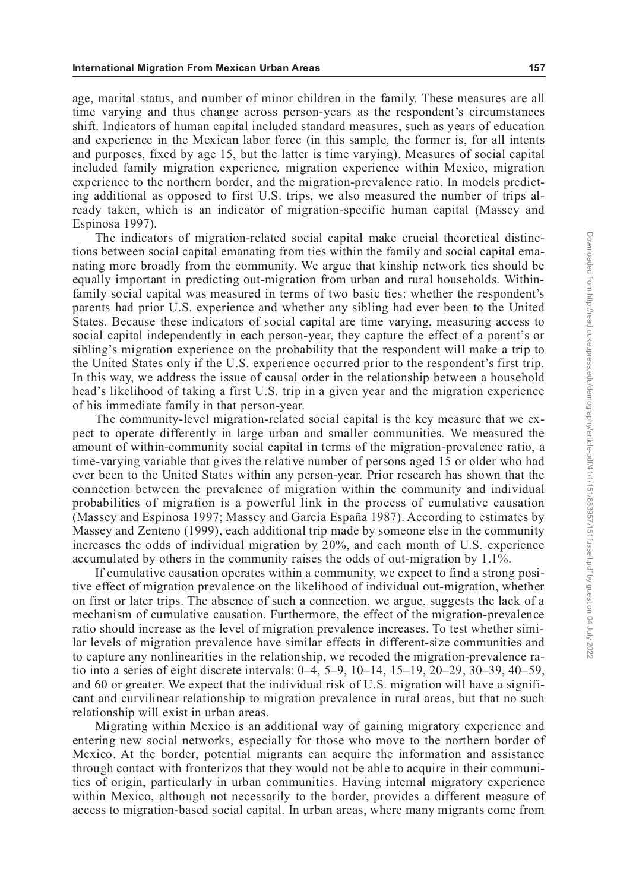age, marital status, and number of minor children in the family. These measures are all time varying and thus change across person-years as the respondent's circumstances shift. Indicators of human capital included standard measures, such as years of education and experience in the Mexican labor force (in this sample, the former is, for all intents and purposes, fixed by age 15, but the latter is time varying). Measures of social capital included family migration experience, migration experience within Mexico, migration experience to the northern border, and the migration-prevalence ratio. In models predicting additional as opposed to first U.S. trips, we also measured the number of trips already taken, which is an indicator of migration-specific human capital (Massey and Espinosa 1997).

The indicators of migration-related social capital make crucial theoretical distinctions between social capital emanating from ties within the family and social capital emanating more broadly from the community. We argue that kinship network ties should be equally important in predicting out-migration from urban and rural households. Withinfamily social capital was measured in terms of two basic ties: whether the respondent's parents had prior U.S. experience and whether any sibling had ever been to the United States. Because these indicators of social capital are time varying, measuring access to social capital independently in each person-year, they capture the effect of a parent's or sibling's migration experience on the probability that the respondent will make a trip to the United States only if the U.S. experience occurred prior to the respondent's first trip. In this way, we address the issue of causal order in the relationship between a household head's likelihood of taking a first U.S. trip in a given year and the migration experience of his immediate family in that person-year.

The community-level migration-related social capital is the key measure that we expect to operate differently in large urban and smaller communities. We measured the amount of within-community social capital in terms of the migration-prevalence ratio, a time-varying variable that gives the relative number of persons aged 15 or older who had ever been to the United States within any person-year. Prior research has shown that the connection between the prevalence of migration within the community and individual probabilities of migration is a powerful link in the process of cumulative causation (Massey and Espinosa 1997; Massey and García España 1987). According to estimates by Massey and Zenteno (1999), each additional trip made by someone else in the community increases the odds of individual migration by 20%, and each month of U.S. experience accumulated by others in the community raises the odds of out-migration by 1.1%.

If cumulative causation operates within a community, we expect to find a strong positive effect of migration prevalence on the likelihood of individual out-migration, whether on first or later trips. The absence of such a connection, we argue, suggests the lack of a mechanism of cumulative causation. Furthermore, the effect of the migration-prevalence ratio should increase as the level of migration prevalence increases. To test whether similar levels of migration prevalence have similar effects in different-size communities and to capture any nonlinearities in the relationship, we recoded the migration-prevalence ratio into a series of eight discrete intervals: 0–4, 5–9, 10–14, 15–19, 20–29, 30–39, 40–59, and 60 or greater. We expect that the individual risk of U.S. migration will have a significant and curvilinear relationship to migration prevalence in rural areas, but that no such relationship will exist in urban areas.

Migrating within Mexico is an additional way of gaining migratory experience and entering new social networks, especially for those who move to the northern border of Mexico. At the border, potential migrants can acquire the information and assistance through contact with fronterizos that they would not be able to acquire in their communities of origin, particularly in urban communities. Having internal migratory experience within Mexico, although not necessarily to the border, provides a different measure of access to migration-based social capital. In urban areas, where many migrants come from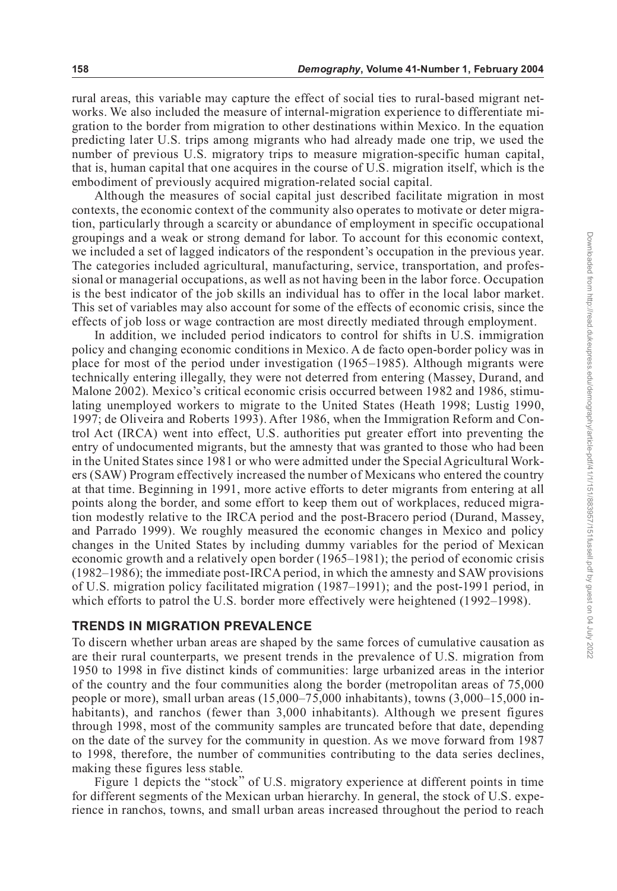rural areas, this variable may capture the effect of social ties to rural-based migrant networks. We also included the measure of internal-migration experience to differentiate migration to the border from migration to other destinations within Mexico. In the equation predicting later U.S. trips among migrants who had already made one trip, we used the number of previous U.S. migratory trips to measure migration-specific human capital, that is, human capital that one acquires in the course of U.S. migration itself, which is the embodiment of previously acquired migration-related social capital.

Although the measures of social capital just described facilitate migration in most contexts, the economic context of the community also operates to motivate or deter migration, particularly through a scarcity or abundance of employment in specific occupational groupings and a weak or strong demand for labor. To account for this economic context, we included a set of lagged indicators of the respondent's occupation in the previous year. The categories included agricultural, manufacturing, service, transportation, and professional or managerial occupations, as well as not having been in the labor force. Occupation is the best indicator of the job skills an individual has to offer in the local labor market. This set of variables may also account for some of the effects of economic crisis, since the effects of job loss or wage contraction are most directly mediated through employment.

In addition, we included period indicators to control for shifts in U.S. immigration policy and changing economic conditions in Mexico. A de facto open-border policy was in place for most of the period under investigation (1965–1985). Although migrants were technically entering illegally, they were not deterred from entering (Massey, Durand, and Malone 2002). Mexico's critical economic crisis occurred between 1982 and 1986, stimulating unemployed workers to migrate to the United States (Heath 1998; Lustig 1990, 1997; de Oliveira and Roberts 1993). After 1986, when the Immigration Reform and Control Act (IRCA) went into effect, U.S. authorities put greater effort into preventing the entry of undocumented migrants, but the amnesty that was granted to those who had been in the United States since 1981 or who were admitted under the Special Agricultural Workers (SAW) Program effectively increased the number of Mexicans who entered the country at that time. Beginning in 1991, more active efforts to deter migrants from entering at all points along the border, and some effort to keep them out of workplaces, reduced migration modestly relative to the IRCA period and the post-Bracero period (Durand, Massey, and Parrado 1999). We roughly measured the economic changes in Mexico and policy changes in the United States by including dummy variables for the period of Mexican economic growth and a relatively open border (1965–1981); the period of economic crisis (1982–1986); the immediate post-IRCA period, in which the amnesty and SAW provisions of U.S. migration policy facilitated migration (1987–1991); and the post-1991 period, in which efforts to patrol the U.S. border more effectively were heightened (1992–1998).

### **TRENDS IN MIGRATION PREVALENCE**

To discern whether urban areas are shaped by the same forces of cumulative causation as are their rural counterparts, we present trends in the prevalence of U.S. migration from 1950 to 1998 in five distinct kinds of communities: large urbanized areas in the interior of the country and the four communities along the border (metropolitan areas of 75,000 people or more), small urban areas (15,000–75,000 inhabitants), towns (3,000–15,000 inhabitants), and ranchos (fewer than 3,000 inhabitants). Although we present figures through 1998, most of the community samples are truncated before that date, depending on the date of the survey for the community in question. As we move forward from 1987 to 1998, therefore, the number of communities contributing to the data series declines, making these figures less stable.

Figure 1 depicts the "stock" of U.S. migratory experience at different points in time for different segments of the Mexican urban hierarchy. In general, the stock of U.S. experience in ranchos, towns, and small urban areas increased throughout the period to reach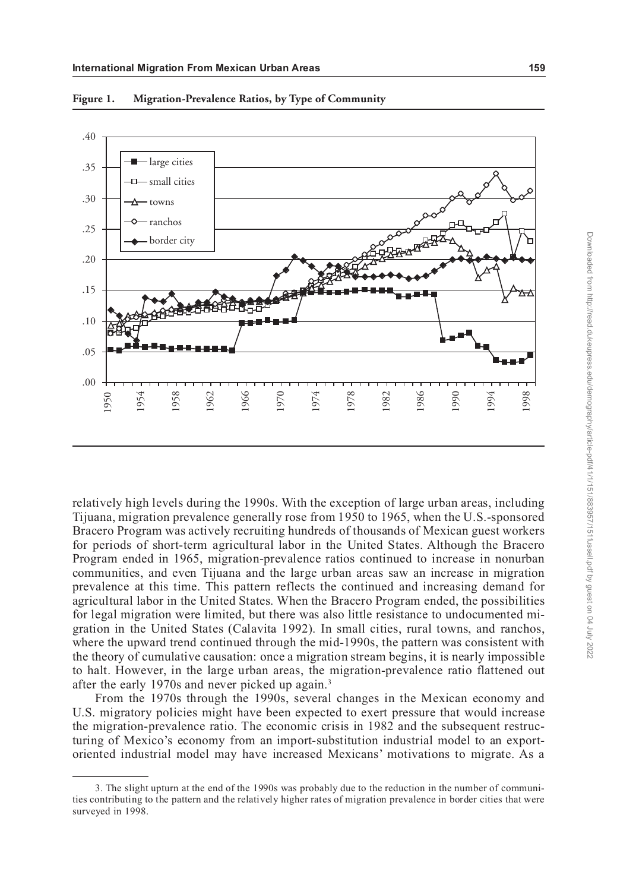

**Figure 1. Migration-Prevalence Ratios, by Type of Community**

relatively high levels during the 1990s. With the exception of large urban areas, including Tijuana, migration prevalence generally rose from 1950 to 1965, when the U.S.-sponsored Bracero Program was actively recruiting hundreds of thousands of Mexican guest workers for periods of short-term agricultural labor in the United States. Although the Bracero Program ended in 1965, migration-prevalence ratios continued to increase in nonurban communities, and even Tijuana and the large urban areas saw an increase in migration prevalence at this time. This pattern reflects the continued and increasing demand for agricultural labor in the United States. When the Bracero Program ended, the possibilities for legal migration were limited, but there was also little resistance to undocumented migration in the United States (Calavita 1992). In small cities, rural towns, and ranchos, where the upward trend continued through the mid-1990s, the pattern was consistent with the theory of cumulative causation: once a migration stream begins, it is nearly impossible to halt. However, in the large urban areas, the migration-prevalence ratio flattened out after the early 1970s and never picked up again.<sup>3</sup>

From the 1970s through the 1990s, several changes in the Mexican economy and U.S. migratory policies might have been expected to exert pressure that would increase the migration-prevalence ratio. The economic crisis in 1982 and the subsequent restructuring of Mexico's economy from an import-substitution industrial model to an exportoriented industrial model may have increased Mexicans' motivations to migrate. As a

<sup>3.</sup> The slight upturn at the end of the 1990s was probably due to the reduction in the number of communities contributing to the pattern and the relatively higher rates of migration prevalence in border cities that were surveyed in 1998.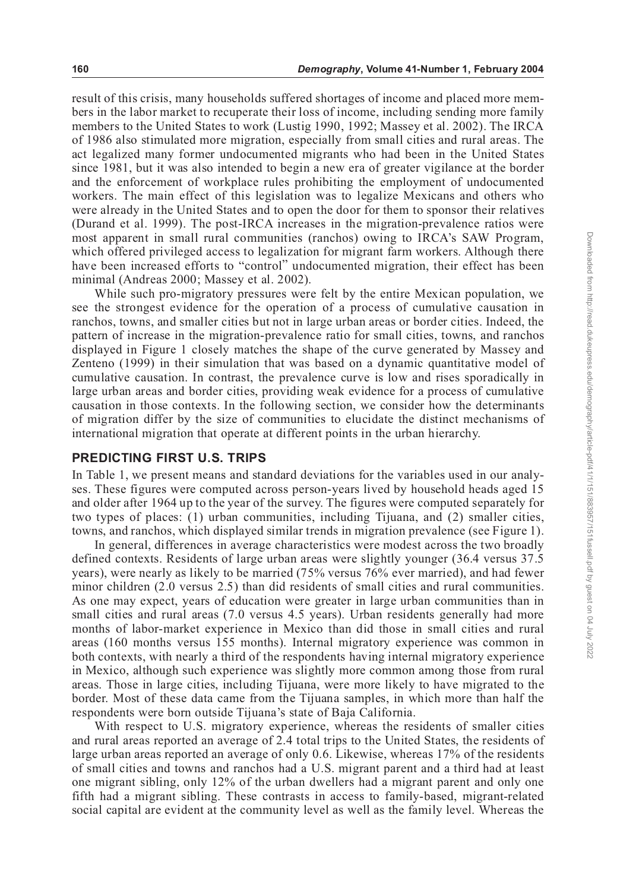result of this crisis, many households suffered shortages of income and placed more members in the labor market to recuperate their loss of income, including sending more family members to the United States to work (Lustig 1990, 1992; Massey et al. 2002). The IRCA of 1986 also stimulated more migration, especially from small cities and rural areas. The act legalized many former undocumented migrants who had been in the United States since 1981, but it was also intended to begin a new era of greater vigilance at the border and the enforcement of workplace rules prohibiting the employment of undocumented workers. The main effect of this legislation was to legalize Mexicans and others who were already in the United States and to open the door for them to sponsor their relatives (Durand et al. 1999). The post-IRCA increases in the migration-prevalence ratios were most apparent in small rural communities (ranchos) owing to IRCA's SAW Program, which offered privileged access to legalization for migrant farm workers. Although there have been increased efforts to "control" undocumented migration, their effect has been minimal (Andreas 2000; Massey et al. 2002).

While such pro-migratory pressures were felt by the entire Mexican population, we see the strongest evidence for the operation of a process of cumulative causation in ranchos, towns, and smaller cities but not in large urban areas or border cities. Indeed, the pattern of increase in the migration-prevalence ratio for small cities, towns, and ranchos displayed in Figure 1 closely matches the shape of the curve generated by Massey and Zenteno (1999) in their simulation that was based on a dynamic quantitative model of cumulative causation. In contrast, the prevalence curve is low and rises sporadically in large urban areas and border cities, providing weak evidence for a process of cumulative causation in those contexts. In the following section, we consider how the determinants of migration differ by the size of communities to elucidate the distinct mechanisms of international migration that operate at different points in the urban hierarchy.

# **PREDICTING FIRST U.S. TRIPS**

In Table 1, we present means and standard deviations for the variables used in our analyses. These figures were computed across person-years lived by household heads aged 15 and older after 1964 up to the year of the survey. The figures were computed separately for two types of places: (1) urban communities, including Tijuana, and (2) smaller cities, towns, and ranchos, which displayed similar trends in migration prevalence (see Figure 1).

In general, differences in average characteristics were modest across the two broadly defined contexts. Residents of large urban areas were slightly younger (36.4 versus 37.5 years), were nearly as likely to be married (75% versus 76% ever married), and had fewer minor children (2.0 versus 2.5) than did residents of small cities and rural communities. As one may expect, years of education were greater in large urban communities than in small cities and rural areas (7.0 versus 4.5 years). Urban residents generally had more months of labor-market experience in Mexico than did those in small cities and rural areas (160 months versus 155 months). Internal migratory experience was common in both contexts, with nearly a third of the respondents having internal migratory experience in Mexico, although such experience was slightly more common among those from rural areas. Those in large cities, including Tijuana, were more likely to have migrated to the border. Most of these data came from the Tijuana samples, in which more than half the respondents were born outside Tijuana's state of Baja California.

With respect to U.S. migratory experience, whereas the residents of smaller cities and rural areas reported an average of 2.4 total trips to the United States, the residents of large urban areas reported an average of only 0.6. Likewise, whereas 17% of the residents of small cities and towns and ranchos had a U.S. migrant parent and a third had at least one migrant sibling, only 12% of the urban dwellers had a migrant parent and only one fifth had a migrant sibling. These contrasts in access to family-based, migrant-related social capital are evident at the community level as well as the family level. Whereas the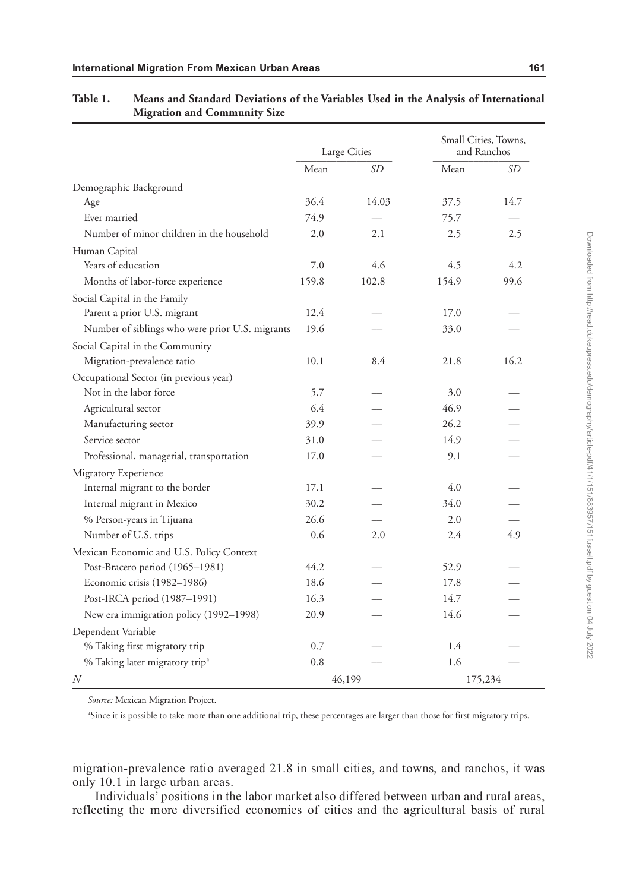|                                                 | Large Cities |        | Small Cities, Towns,<br>and Ranchos |         |
|-------------------------------------------------|--------------|--------|-------------------------------------|---------|
|                                                 | Mean         | SD     | Mean                                | SD      |
| Demographic Background                          |              |        |                                     |         |
| Age                                             | 36.4         | 14.03  | 37.5                                | 14.7    |
| Ever married                                    | 74.9         |        | 75.7                                |         |
| Number of minor children in the household       | 2.0          | 2.1    | 2.5                                 | 2.5     |
| Human Capital                                   |              |        |                                     |         |
| Years of education                              | 7.0          | 4.6    | 4.5                                 | 4.2     |
| Months of labor-force experience                | 159.8        | 102.8  | 154.9                               | 99.6    |
| Social Capital in the Family                    |              |        |                                     |         |
| Parent a prior U.S. migrant                     | 12.4         |        | 17.0                                |         |
| Number of siblings who were prior U.S. migrants | 19.6         |        | 33.0                                |         |
| Social Capital in the Community                 |              |        |                                     |         |
| Migration-prevalence ratio                      | 10.1         | 8.4    | 21.8                                | 16.2    |
| Occupational Sector (in previous year)          |              |        |                                     |         |
| Not in the labor force                          | 5.7          |        | 3.0                                 |         |
| Agricultural sector                             | 6.4          |        | 46.9                                |         |
| Manufacturing sector                            | 39.9         |        | 26.2                                |         |
| Service sector                                  | 31.0         |        | 14.9                                |         |
| Professional, managerial, transportation        | 17.0         |        | 9.1                                 |         |
| Migratory Experience                            |              |        |                                     |         |
| Internal migrant to the border                  | 17.1         |        | 4.0                                 |         |
| Internal migrant in Mexico                      | 30.2         |        | 34.0                                |         |
| % Person-years in Tijuana                       | 26.6         |        | 2.0                                 |         |
| Number of U.S. trips                            | 0.6          | 2.0    | 2.4                                 | 4.9     |
| Mexican Economic and U.S. Policy Context        |              |        |                                     |         |
| Post-Bracero period (1965-1981)                 | 44.2         |        | 52.9                                |         |
| Economic crisis (1982-1986)                     | 18.6         |        | 17.8                                |         |
| Post-IRCA period (1987-1991)                    | 16.3         |        | 14.7                                |         |
| New era immigration policy (1992-1998)          | 20.9         |        | 14.6                                |         |
| Dependent Variable                              |              |        |                                     |         |
| % Taking first migratory trip                   | 0.7          |        | 1.4                                 |         |
| % Taking later migratory trip <sup>a</sup>      | 0.8          |        | 1.6                                 |         |
| N                                               |              | 46,199 |                                     | 175,234 |

#### **Table 1. Means and Standard Deviations of the Variables Used in the Analysis of International Migration and Community Size**

*Source:* Mexican Migration Project.

<sup>a</sup>Since it is possible to take more than one additional trip, these percentages are larger than those for first migratory trips.

migration-prevalence ratio averaged 21.8 in small cities, and towns, and ranchos, it was only 10.1 in large urban areas.

Individuals' positions in the labor market also differed between urban and rural areas, reflecting the more diversified economies of cities and the agricultural basis of rural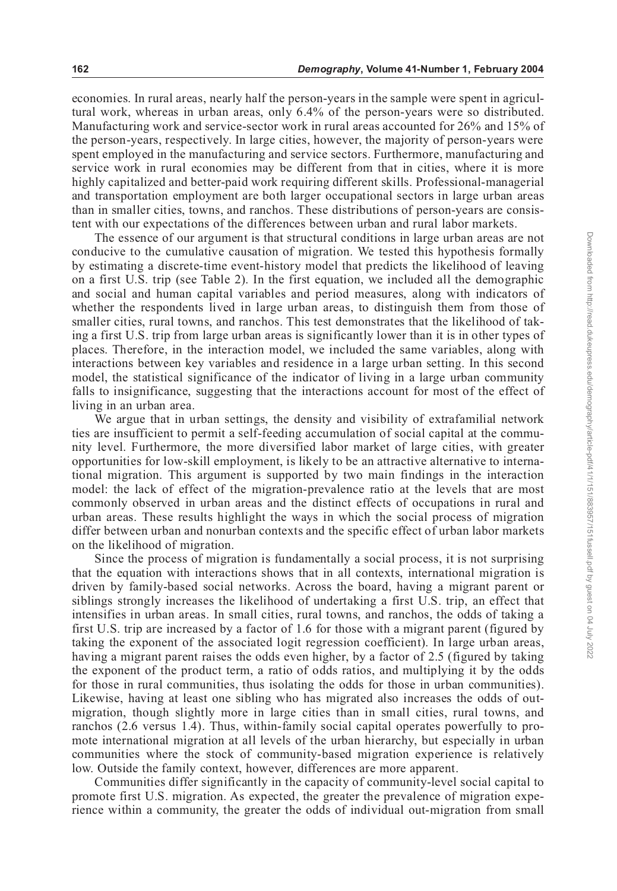economies. In rural areas, nearly half the person-years in the sample were spent in agricultural work, whereas in urban areas, only 6.4% of the person-years were so distributed. Manufacturing work and service-sector work in rural areas accounted for 26% and 15% of the person-years, respectively. In large cities, however, the majority of person-years were spent employed in the manufacturing and service sectors. Furthermore, manufacturing and service work in rural economies may be different from that in cities, where it is more highly capitalized and better-paid work requiring different skills. Professional-managerial and transportation employment are both larger occupational sectors in large urban areas than in smaller cities, towns, and ranchos. These distributions of person-years are consistent with our expectations of the differences between urban and rural labor markets.

The essence of our argument is that structural conditions in large urban areas are not conducive to the cumulative causation of migration. We tested this hypothesis formally by estimating a discrete-time event-history model that predicts the likelihood of leaving on a first U.S. trip (see Table 2). In the first equation, we included all the demographic and social and human capital variables and period measures, along with indicators of whether the respondents lived in large urban areas, to distinguish them from those of smaller cities, rural towns, and ranchos. This test demonstrates that the likelihood of taking a first U.S. trip from large urban areas is significantly lower than it is in other types of places. Therefore, in the interaction model, we included the same variables, along with interactions between key variables and residence in a large urban setting. In this second model, the statistical significance of the indicator of living in a large urban community falls to insignificance, suggesting that the interactions account for most of the effect of living in an urban area.

We argue that in urban settings, the density and visibility of extrafamilial network ties are insufficient to permit a self-feeding accumulation of social capital at the community level. Furthermore, the more diversified labor market of large cities, with greater opportunities for low-skill employment, is likely to be an attractive alternative to international migration. This argument is supported by two main findings in the interaction model: the lack of effect of the migration-prevalence ratio at the levels that are most commonly observed in urban areas and the distinct effects of occupations in rural and urban areas. These results highlight the ways in which the social process of migration differ between urban and nonurban contexts and the specific effect of urban labor markets on the likelihood of migration.

Since the process of migration is fundamentally a social process, it is not surprising that the equation with interactions shows that in all contexts, international migration is driven by family-based social networks. Across the board, having a migrant parent or siblings strongly increases the likelihood of undertaking a first U.S. trip, an effect that intensifies in urban areas. In small cities, rural towns, and ranchos, the odds of taking a first U.S. trip are increased by a factor of 1.6 for those with a migrant parent (figured by taking the exponent of the associated logit regression coefficient). In large urban areas, having a migrant parent raises the odds even higher, by a factor of 2.5 (figured by taking the exponent of the product term, a ratio of odds ratios, and multiplying it by the odds for those in rural communities, thus isolating the odds for those in urban communities). Likewise, having at least one sibling who has migrated also increases the odds of outmigration, though slightly more in large cities than in small cities, rural towns, and ranchos (2.6 versus 1.4). Thus, within-family social capital operates powerfully to promote international migration at all levels of the urban hierarchy, but especially in urban communities where the stock of community-based migration experience is relatively low. Outside the family context, however, differences are more apparent.

Communities differ significantly in the capacity of community-level social capital to promote first U.S. migration. As expected, the greater the prevalence of migration experience within a community, the greater the odds of individual out-migration from small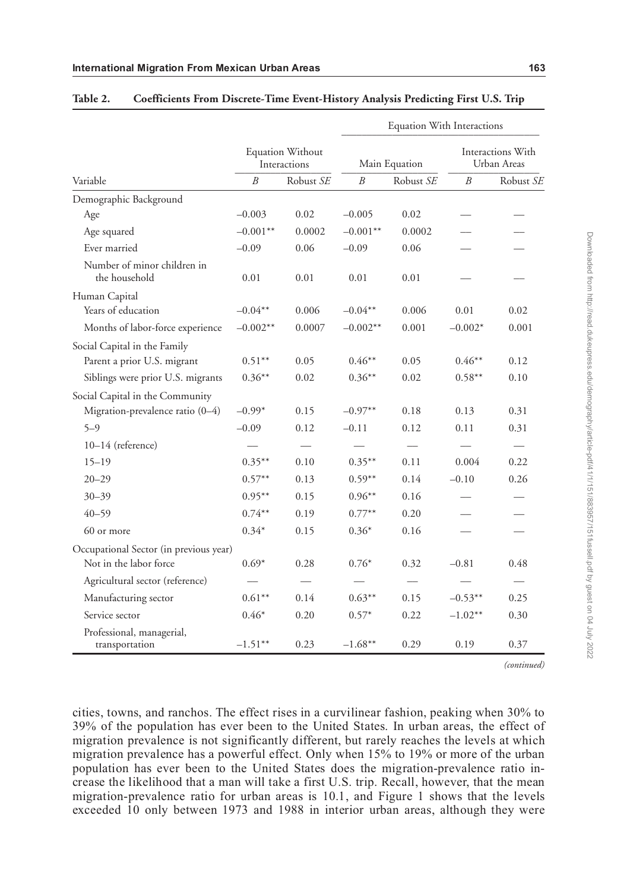|                                              |                  |                                         | <b>Equation With Interactions</b> |               |                  |                                  |  |
|----------------------------------------------|------------------|-----------------------------------------|-----------------------------------|---------------|------------------|----------------------------------|--|
|                                              |                  | <b>Equation Without</b><br>Interactions |                                   | Main Equation |                  | Interactions With<br>Urban Areas |  |
| Variable                                     | $\boldsymbol{B}$ | Robust SE                               | $\boldsymbol{B}$                  | Robust SE     | $\boldsymbol{B}$ | Robust SE                        |  |
| Demographic Background                       |                  |                                         |                                   |               |                  |                                  |  |
| Age                                          | $-0.003$         | 0.02                                    | $-0.005$                          | 0.02          |                  |                                  |  |
| Age squared                                  | $-0.001**$       | 0.0002                                  | $-0.001**$                        | 0.0002        |                  |                                  |  |
| Ever married                                 | $-0.09$          | 0.06                                    | $-0.09$                           | 0.06          |                  |                                  |  |
| Number of minor children in<br>the household | 0.01             | 0.01                                    | 0.01                              | 0.01          |                  |                                  |  |
| Human Capital                                |                  |                                         |                                   |               |                  |                                  |  |
| Years of education                           | $-0.04**$        | 0.006                                   | $-0.04**$                         | 0.006         | 0.01             | 0.02                             |  |
| Months of labor-force experience             | $-0.002**$       | 0.0007                                  | $-0.002**$                        | 0.001         | $-0.002*$        | 0.001                            |  |
| Social Capital in the Family                 |                  |                                         |                                   |               |                  |                                  |  |
| Parent a prior U.S. migrant                  | $0.51***$        | 0.05                                    | $0.46**$                          | 0.05          | $0.46**$         | 0.12                             |  |
| Siblings were prior U.S. migrants            | $0.36**$         | 0.02                                    | $0.36**$                          | 0.02          | $0.58**$         | 0.10                             |  |
| Social Capital in the Community              |                  |                                         |                                   |               |                  |                                  |  |
| Migration-prevalence ratio (0-4)             | $-0.99*$         | 0.15                                    | $-0.97**$                         | 0.18          | 0.13             | 0.31                             |  |
| $5 - 9$                                      | $-0.09$          | 0.12                                    | $-0.11$                           | 0.12          | 0.11             | 0.31                             |  |
| $10-14$ (reference)                          |                  |                                         |                                   |               |                  |                                  |  |
| $15 - 19$                                    | $0.35***$        | 0.10                                    | $0.35***$                         | 0.11          | 0.004            | 0.22                             |  |
| $20 - 29$                                    | $0.57**$         | 0.13                                    | $0.59**$                          | 0.14          | $-0.10$          | 0.26                             |  |
| $30 - 39$                                    | $0.95***$        | 0.15                                    | $0.96**$                          | 0.16          |                  |                                  |  |
| $40 - 59$                                    | $0.74***$        | 0.19                                    | $0.77***$                         | 0.20          |                  |                                  |  |
| 60 or more                                   | $0.34*$          | 0.15                                    | $0.36*$                           | 0.16          |                  |                                  |  |
| Occupational Sector (in previous year)       |                  |                                         |                                   |               |                  |                                  |  |
| Not in the labor force                       | $0.69*$          | 0.28                                    | $0.76*$                           | 0.32          | $-0.81$          | 0.48                             |  |
| Agricultural sector (reference)              |                  |                                         |                                   |               |                  |                                  |  |
| Manufacturing sector                         | $0.61**$         | 0.14                                    | $0.63**$                          | 0.15          | $-0.53***$       | 0.25                             |  |
| Service sector                               | $0.46*$          | 0.20                                    | $0.57*$                           | 0.22          | $-1.02**$        | 0.30                             |  |
| Professional, managerial,<br>transportation  | $-1.51***$       | 0.23                                    | $-1.68***$                        | 0.29          | 0.19             | 0.37                             |  |

#### **Table 2. Coefficients From Discrete-Time Event-History Analysis Predicting First U.S. Trip**

*(continued)*

cities, towns, and ranchos. The effect rises in a curvilinear fashion, peaking when 30% to 39% of the population has ever been to the United States. In urban areas, the effect of migration prevalence is not significantly different, but rarely reaches the levels at which migration prevalence has a powerful effect. Only when 15% to 19% or more of the urban population has ever been to the United States does the migration-prevalence ratio increase the likelihood that a man will take a first U.S. trip. Recall, however, that the mean migration-prevalence ratio for urban areas is 10.1, and Figure 1 shows that the levels exceeded 10 only between 1973 and 1988 in interior urban areas, although they were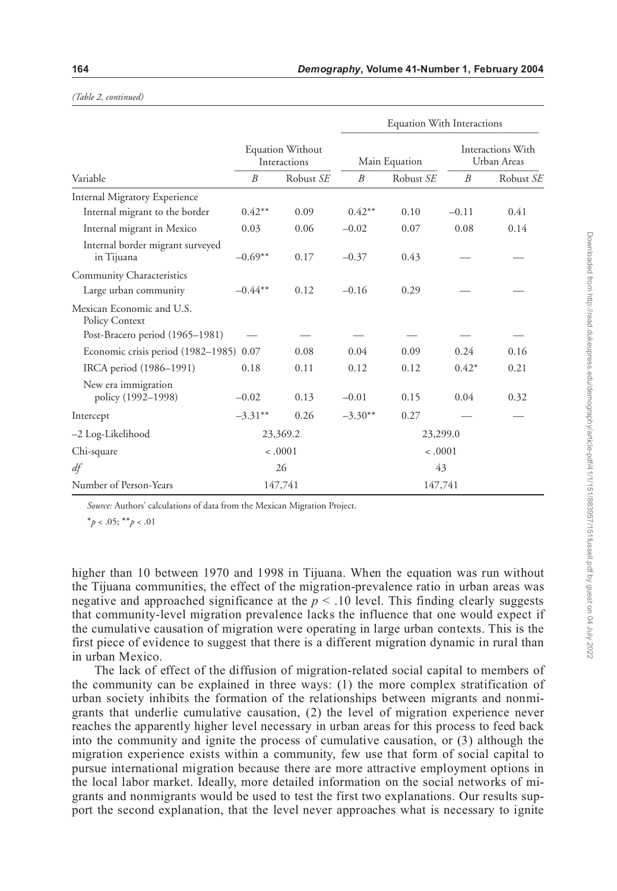|                                                |           |                                         | Equation With Interactions |               |                  |                                  |  |
|------------------------------------------------|-----------|-----------------------------------------|----------------------------|---------------|------------------|----------------------------------|--|
|                                                |           | <b>Equation Without</b><br>Interactions |                            | Main Equation |                  | Interactions With<br>Urban Areas |  |
| Variable                                       | B         | Robust SE                               | B                          | Robust SE     | $\boldsymbol{B}$ | Robust SE                        |  |
| Internal Migratory Experience                  |           |                                         |                            |               |                  |                                  |  |
| Internal migrant to the border                 | $0.42**$  | 0.09                                    | $0.42**$                   | 0.10          | $-0.11$          | 0.41                             |  |
| Internal migrant in Mexico                     | 0.03      | 0.06                                    | $-0.02$                    | 0.07          | 0.08             | 0.14                             |  |
| Internal border migrant surveyed<br>in Tijuana | $-0.69**$ | 0.17                                    | $-0.37$                    | 0.43          |                  |                                  |  |
| Community Characteristics                      |           |                                         |                            |               |                  |                                  |  |
| Large urban community                          | $-0.44**$ | 0.12                                    | $-0.16$                    | 0.29          |                  |                                  |  |
| Mexican Economic and U.S.<br>Policy Context    |           |                                         |                            |               |                  |                                  |  |
| Post-Bracero period (1965–1981)                |           |                                         |                            |               |                  |                                  |  |
| Economic crisis period (1982–1985) 0.07        |           | 0.08                                    | 0.04                       | 0.09          | 0.24             | 0.16                             |  |
| IRCA period (1986-1991)                        | 0.18      | 0.11                                    | 0.12                       | 0.12          | $0.42*$          | 0.21                             |  |
| New era immigration<br>policy (1992–1998)      | $-0.02$   | 0.13                                    | $-0.01$                    | 0.15          | 0.04             | 0.32                             |  |
| Intercept                                      | $-3.31**$ | 0.26                                    | $-3.30**$                  | 0.27          |                  |                                  |  |
| -2 Log-Likelihood                              |           | 23,369.2                                |                            | 23,299.0      |                  |                                  |  |
| Chi-square                                     |           | $-.0001$                                |                            | $-.0001$      |                  |                                  |  |
| df                                             |           | 26                                      |                            | 43            |                  |                                  |  |
| Number of Person-Years                         |           | 147,741                                 |                            | 147,741       |                  |                                  |  |

*(Table 2, continued)*

*Source:* Authors' calculations of data from the Mexican Migration Project.

\**p* < .05; \*\**p* < .01

higher than 10 between 1970 and 1998 in Tijuana. When the equation was run without the Tijuana communities, the effect of the migration-prevalence ratio in urban areas was negative and approached significance at the *p* < .10 level. This finding clearly suggests that community-level migration prevalence lacks the influence that one would expect if the cumulative causation of migration were operating in large urban contexts. This is the first piece of evidence to suggest that there is a different migration dynamic in rural than in urban Mexico.

The lack of effect of the diffusion of migration-related social capital to members of the community can be explained in three ways: (1) the more complex stratification of urban society inhibits the formation of the relationships between migrants and nonmigrants that underlie cumulative causation, (2) the level of migration experience never reaches the apparently higher level necessary in urban areas for this process to feed back into the community and ignite the process of cumulative causation, or (3) although the migration experience exists within a community, few use that form of social capital to pursue international migration because there are more attractive employment options in the local labor market. Ideally, more detailed information on the social networks of migrants and nonmigrants would be used to test the first two explanations. Our results support the second explanation, that the level never approaches what is necessary to ignite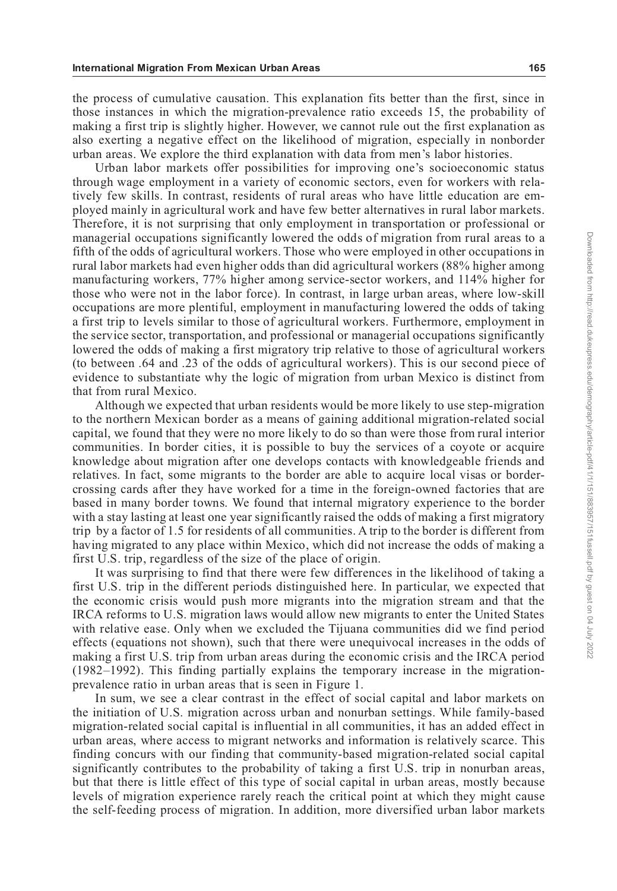the process of cumulative causation. This explanation fits better than the first, since in those instances in which the migration-prevalence ratio exceeds 15, the probability of making a first trip is slightly higher. However, we cannot rule out the first explanation as also exerting a negative effect on the likelihood of migration, especially in nonborder urban areas. We explore the third explanation with data from men's labor histories.

Urban labor markets offer possibilities for improving one's socioeconomic status through wage employment in a variety of economic sectors, even for workers with relatively few skills. In contrast, residents of rural areas who have little education are employed mainly in agricultural work and have few better alternatives in rural labor markets. Therefore, it is not surprising that only employment in transportation or professional or managerial occupations significantly lowered the odds of migration from rural areas to a fifth of the odds of agricultural workers. Those who were employed in other occupations in rural labor markets had even higher odds than did agricultural workers (88% higher among manufacturing workers, 77% higher among service-sector workers, and 114% higher for those who were not in the labor force). In contrast, in large urban areas, where low-skill occupations are more plentiful, employment in manufacturing lowered the odds of taking a first trip to levels similar to those of agricultural workers. Furthermore, employment in the service sector, transportation, and professional or managerial occupations significantly lowered the odds of making a first migratory trip relative to those of agricultural workers (to between .64 and .23 of the odds of agricultural workers). This is our second piece of evidence to substantiate why the logic of migration from urban Mexico is distinct from that from rural Mexico.

Although we expected that urban residents would be more likely to use step-migration to the northern Mexican border as a means of gaining additional migration-related social capital, we found that they were no more likely to do so than were those from rural interior communities. In border cities, it is possible to buy the services of a coyote or acquire knowledge about migration after one develops contacts with knowledgeable friends and relatives. In fact, some migrants to the border are able to acquire local visas or bordercrossing cards after they have worked for a time in the foreign-owned factories that are based in many border towns. We found that internal migratory experience to the border with a stay lasting at least one year significantly raised the odds of making a first migratory trip by a factor of 1.5 for residents of all communities. A trip to the border is different from having migrated to any place within Mexico, which did not increase the odds of making a first U.S. trip, regardless of the size of the place of origin.

It was surprising to find that there were few differences in the likelihood of taking a first U.S. trip in the different periods distinguished here. In particular, we expected that the economic crisis would push more migrants into the migration stream and that the IRCA reforms to U.S. migration laws would allow new migrants to enter the United States with relative ease. Only when we excluded the Tijuana communities did we find period effects (equations not shown), such that there were unequivocal increases in the odds of making a first U.S. trip from urban areas during the economic crisis and the IRCA period (1982–1992). This finding partially explains the temporary increase in the migrationprevalence ratio in urban areas that is seen in Figure 1.

In sum, we see a clear contrast in the effect of social capital and labor markets on the initiation of U.S. migration across urban and nonurban settings. While family-based migration-related social capital is influential in all communities, it has an added effect in urban areas, where access to migrant networks and information is relatively scarce. This finding concurs with our finding that community-based migration-related social capital significantly contributes to the probability of taking a first U.S. trip in nonurban areas, but that there is little effect of this type of social capital in urban areas, mostly because levels of migration experience rarely reach the critical point at which they might cause the self-feeding process of migration. In addition, more diversified urban labor markets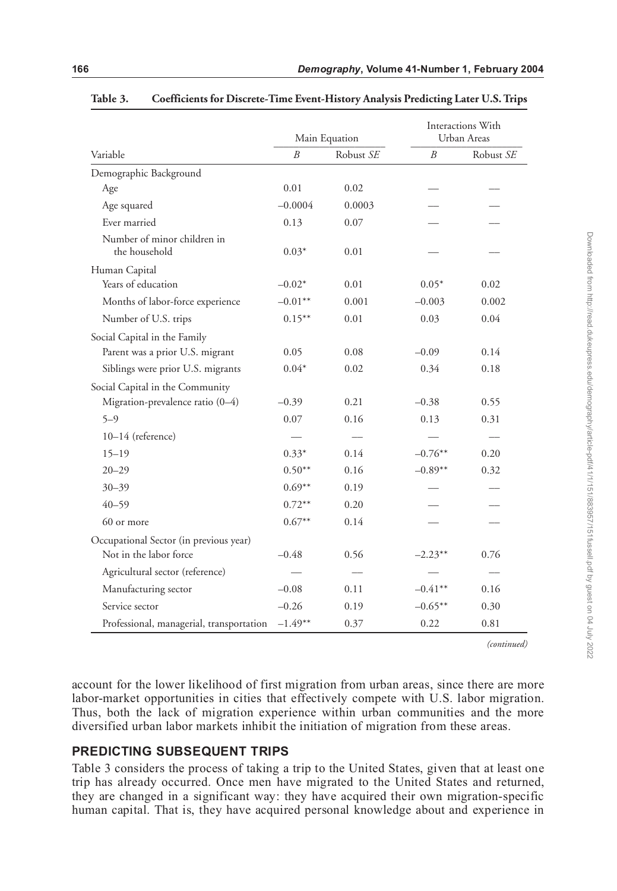|                                              | Main Equation |           | Interactions With<br>Urban Areas |           |
|----------------------------------------------|---------------|-----------|----------------------------------|-----------|
| Variable                                     | B             | Robust SE | B                                | Robust SE |
| Demographic Background                       |               |           |                                  |           |
| Age                                          | 0.01          | 0.02      |                                  |           |
| Age squared                                  | $-0.0004$     | 0.0003    |                                  |           |
| Ever married                                 | 0.13          | 0.07      |                                  |           |
| Number of minor children in<br>the household | $0.03*$       | 0.01      |                                  |           |
| Human Capital                                |               |           |                                  |           |
| Years of education                           | $-0.02*$      | 0.01      | $0.05*$                          | 0.02      |
| Months of labor-force experience             | $-0.01**$     | 0.001     | $-0.003$                         | 0.002     |
| Number of U.S. trips                         | $0.15***$     | 0.01      | 0.03                             | 0.04      |
| Social Capital in the Family                 |               |           |                                  |           |
| Parent was a prior U.S. migrant              | 0.05          | 0.08      | $-0.09$                          | 0.14      |
| Siblings were prior U.S. migrants            | $0.04*$       | 0.02      | 0.34                             | 0.18      |
| Social Capital in the Community              |               |           |                                  |           |
| Migration-prevalence ratio (0-4)             | $-0.39$       | 0.21      | $-0.38$                          | 0.55      |
| $5 - 9$                                      | 0.07          | 0.16      | 0.13                             | 0.31      |
| $10-14$ (reference)                          |               |           |                                  |           |
| $15 - 19$                                    | $0.33*$       | 0.14      | $-0.76**$                        | 0.20      |
| $20 - 29$                                    | $0.50**$      | 0.16      | $-0.89**$                        | 0.32      |
| $30 - 39$                                    | $0.69**$      | 0.19      |                                  |           |
| $40 - 59$                                    | $0.72***$     | 0.20      |                                  |           |
| 60 or more                                   | $0.67**$      | 0.14      |                                  |           |
| Occupational Sector (in previous year)       |               |           |                                  |           |
| Not in the labor force                       | $-0.48$       | 0.56      | $-2.23***$                       | 0.76      |
| Agricultural sector (reference)              |               |           |                                  |           |
| Manufacturing sector                         | $-0.08$       | 0.11      | $-0.41**$                        | 0.16      |
| Service sector                               | $-0.26$       | 0.19      | $-0.65***$                       | 0.30      |
| Professional, managerial, transportation     | $-1.49**$     | 0.37      | 0.22                             | 0.81      |

|  | Table 3. | Coefficients for Discrete-Time Event-History Analysis Predicting Later U.S. Trips |  |
|--|----------|-----------------------------------------------------------------------------------|--|
|--|----------|-----------------------------------------------------------------------------------|--|

*(continued)*

account for the lower likelihood of first migration from urban areas, since there are more labor-market opportunities in cities that effectively compete with U.S. labor migration. Thus, both the lack of migration experience within urban communities and the more diversified urban labor markets inhibit the initiation of migration from these areas.

# PREDICTING SUBSEQUENT TRIPS

Table 3 considers the process of taking a trip to the United States, given that at least one trip has already occurred. Once men have migrated to the United States and returned, they are changed in a significant way: they have acquired their own migration-specific human capital. That is, they have acquired personal knowledge about and experience in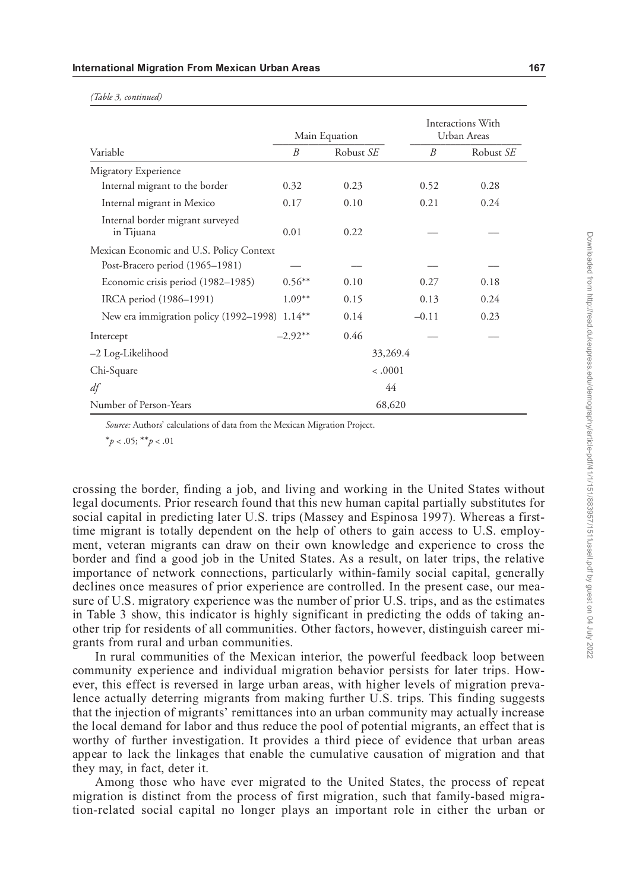*(Table 3, continued)*

|                                                |           | Main Equation |         | Interactions With<br>Urban Areas |  |
|------------------------------------------------|-----------|---------------|---------|----------------------------------|--|
| Variable                                       | B         | Robust SE     | B       | Robust SE                        |  |
| Migratory Experience                           |           |               |         |                                  |  |
| Internal migrant to the border                 | 0.32      | 0.23          | 0.52    | 0.28                             |  |
| Internal migrant in Mexico                     | 0.17      | 0.10          | 0.21    | 0.24                             |  |
| Internal border migrant surveyed<br>in Tijuana | 0.01      | 0.22          |         |                                  |  |
| Mexican Economic and U.S. Policy Context       |           |               |         |                                  |  |
| Post-Bracero period (1965–1981)                |           |               |         |                                  |  |
| Economic crisis period (1982–1985)             | $0.56***$ | 0.10          | 0.27    | 0.18                             |  |
| IRCA period (1986–1991)                        | $1.09**$  | 0.15          | 0.13    | 0.24                             |  |
| New era immigration policy (1992–1998) 1.14**  |           | 0.14          | $-0.11$ | 0.23                             |  |
| Intercept                                      | $-2.92**$ | 0.46          |         |                                  |  |
| -2 Log-Likelihood                              |           | 33,269.4      |         |                                  |  |
| Chi-Square                                     |           | $-.0001$      |         |                                  |  |
| df                                             |           | 44            |         |                                  |  |
| Number of Person-Years                         |           | 68,620        |         |                                  |  |

*Source:* Authors' calculations of data from the Mexican Migration Project.

 $*_{p}$  < .05;  $*_{p}$  < .01

crossing the border, finding a job, and living and working in the United States without legal documents. Prior research found that this new human capital partially substitutes for social capital in predicting later U.S. trips (Massey and Espinosa 1997). Whereas a firsttime migrant is totally dependent on the help of others to gain access to U.S. employment, veteran migrants can draw on their own knowledge and experience to cross the border and find a good job in the United States. As a result, on later trips, the relative importance of network connections, particularly within-family social capital, generally declines once measures of prior experience are controlled. In the present case, our measure of U.S. migratory experience was the number of prior U.S. trips, and as the estimates in Table 3 show, this indicator is highly significant in predicting the odds of taking another trip for residents of all communities. Other factors, however, distinguish career migrants from rural and urban communities.

In rural communities of the Mexican interior, the powerful feedback loop between community experience and individual migration behavior persists for later trips. However, this effect is reversed in large urban areas, with higher levels of migration prevalence actually deterring migrants from making further U.S. trips. This finding suggests that the injection of migrants' remittances into an urban community may actually increase the local demand for labor and thus reduce the pool of potential migrants, an effect that is worthy of further investigation. It provides a third piece of evidence that urban areas appear to lack the linkages that enable the cumulative causation of migration and that they may, in fact, deter it.

Among those who have ever migrated to the United States, the process of repeat migration is distinct from the process of first migration, such that family-based migration-related social capital no longer plays an important role in either the urban or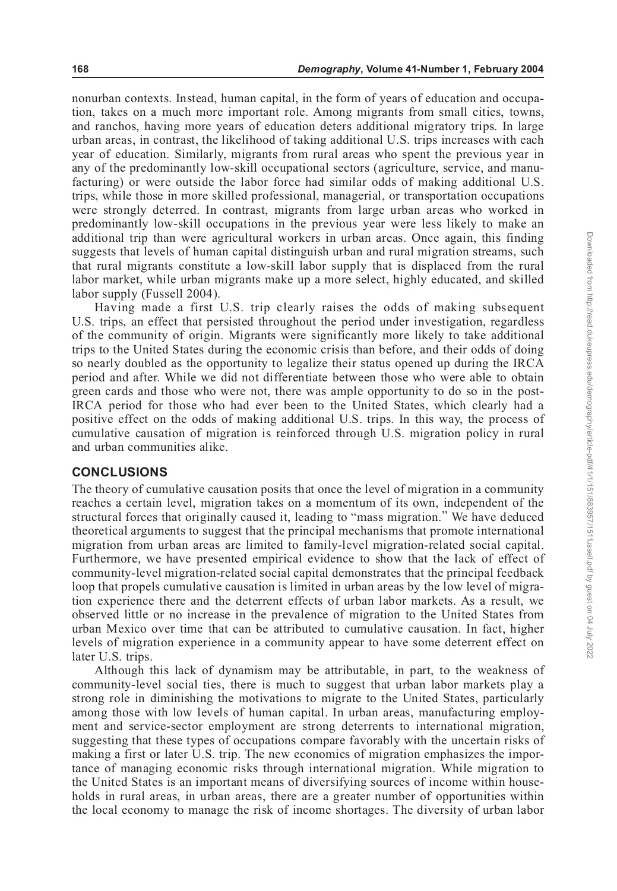nonurban contexts. Instead, human capital, in the form of years of education and occupation, takes on a much more important role. Among migrants from small cities, towns, and ranchos, having more years of education deters additional migratory trips. In large urban areas, in contrast, the likelihood of taking additional U.S. trips increases with each year of education. Similarly, migrants from rural areas who spent the previous year in any of the predominantly low-skill occupational sectors (agriculture, service, and manufacturing) or were outside the labor force had similar odds of making additional U.S. trips, while those in more skilled professional, managerial, or transportation occupations were strongly deterred. In contrast, migrants from large urban areas who worked in predominantly low-skill occupations in the previous year were less likely to make an additional trip than were agricultural workers in urban areas. Once again, this finding suggests that levels of human capital distinguish urban and rural migration streams, such that rural migrants constitute a low-skill labor supply that is displaced from the rural labor market, while urban migrants make up a more select, highly educated, and skilled labor supply (Fussell 2004).

Having made a first U.S. trip clearly raises the odds of making subsequent U.S. trips, an effect that persisted throughout the period under investigation, regardless of the community of origin. Migrants were significantly more likely to take additional trips to the United States during the economic crisis than before, and their odds of doing so nearly doubled as the opportunity to legalize their status opened up during the IRCA period and after. While we did not differentiate between those who were able to obtain green cards and those who were not, there was ample opportunity to do so in the post-IRCA period for those who had ever been to the United States, which clearly had a positive effect on the odds of making additional U.S. trips. In this way, the process of cumulative causation of migration is reinforced through U.S. migration policy in rural and urban communities alike.

# **CONCLUSIONS**

The theory of cumulative causation posits that once the level of migration in a community reaches a certain level, migration takes on a momentum of its own, independent of the structural forces that originally caused it, leading to "mass migration." We have deduced theoretical arguments to suggest that the principal mechanisms that promote international migration from urban areas are limited to family-level migration-related social capital. Furthermore, we have presented empirical evidence to show that the lack of effect of community-level migration-related social capital demonstrates that the principal feedback loop that propels cumulative causation is limited in urban areas by the low level of migration experience there and the deterrent effects of urban labor markets. As a result, we observed little or no increase in the prevalence of migration to the United States from urban Mexico over time that can be attributed to cumulative causation. In fact, higher levels of migration experience in a community appear to have some deterrent effect on later U.S. trips.

Although this lack of dynamism may be attributable, in part, to the weakness of community-level social ties, there is much to suggest that urban labor markets play a strong role in diminishing the motivations to migrate to the United States, particularly among those with low levels of human capital. In urban areas, manufacturing employment and service-sector employment are strong deterrents to international migration, suggesting that these types of occupations compare favorably with the uncertain risks of making a first or later U.S. trip. The new economics of migration emphasizes the importance of managing economic risks through international migration. While migration to the United States is an important means of diversifying sources of income within households in rural areas, in urban areas, there are a greater number of opportunities within the local economy to manage the risk of income shortages. The diversity of urban labor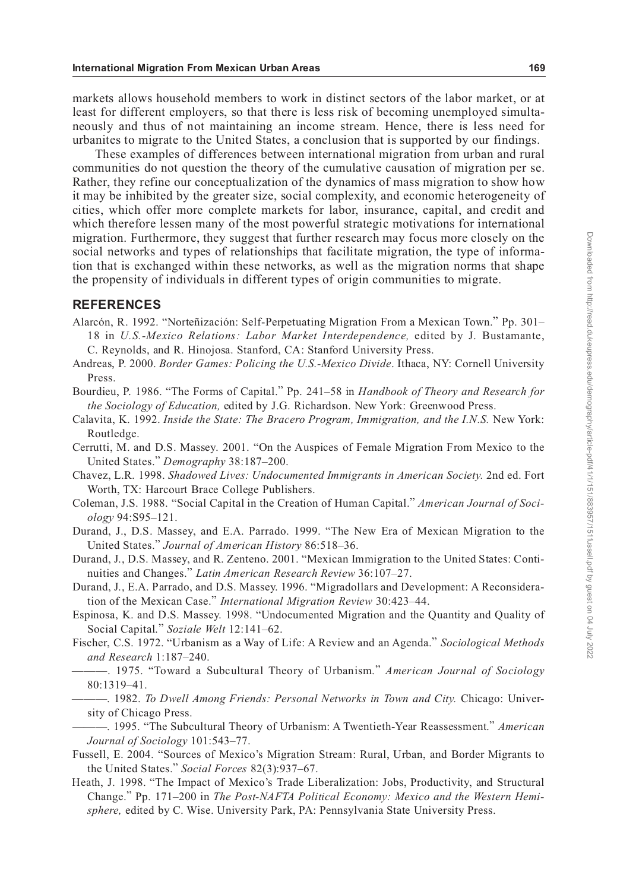markets allows household members to work in distinct sectors of the labor market, or at least for different employers, so that there is less risk of becoming unemployed simultaneously and thus of not maintaining an income stream. Hence, there is less need for urbanites to migrate to the United States, a conclusion that is supported by our findings.

These examples of differences between international migration from urban and rural communities do not question the theory of the cumulative causation of migration per se. Rather, they refine our conceptualization of the dynamics of mass migration to show how it may be inhibited by the greater size, social complexity, and economic heterogeneity of cities, which offer more complete markets for labor, insurance, capital, and credit and which therefore lessen many of the most powerful strategic motivations for international migration. Furthermore, they suggest that further research may focus more closely on the social networks and types of relationships that facilitate migration, the type of information that is exchanged within these networks, as well as the migration norms that shape the propensity of individuals in different types of origin communities to migrate.

- **REFERENCES** Alarcón, R. 1992. "Norteñización: Self-Perpetuating Migration From a Mexican Town." Pp. 301– 18 in *U.S.-Mexico Relations: Labor Market Interdependence,* edited by J. Bustamante, C. Reynolds, and R. Hinojosa. Stanford, CA: Stanford University Press.
- Andreas, P. 2000. *Border Games: Policing the U.S.-Mexico Divide*. Ithaca, NY: Cornell University Press.
- Bourdieu, P. 1986. "The Forms of Capital." Pp. 241–58 in *Handbook of Theory and Research for the Sociology of Education,* edited by J.G. Richardson. New York: Greenwood Press.
- Calavita, K. 1992. *Inside the State: The Bracero Program, Immigration, and the I.N.S.* New York: Routledge.
- Cerrutti, M. and D.S. Massey. 2001. "On the Auspices of Female Migration From Mexico to the United States." *Demography* 38:187–200.
- Chavez, L.R. 1998. *Shadowed Lives: Undocumented Immigrants in American Society.* 2nd ed. Fort Worth, TX: Harcourt Brace College Publishers.
- Coleman, J.S. 1988. "Social Capital in the Creation of Human Capital." *American Journal of Sociology* 94:S95–121.
- Durand, J., D.S. Massey, and E.A. Parrado. 1999. "The New Era of Mexican Migration to the United States." *Journal of American History* 86:518–36.
- Durand, J., D.S. Massey, and R. Zenteno. 2001. "Mexican Immigration to the United States: Continuities and Changes." *Latin American Research Review* 36:107–27.
- Durand, J., E.A. Parrado, and D.S. Massey. 1996. "Migradollars and Development: A Reconsideration of the Mexican Case." *International Migration Review* 30:423–44.
- Espinosa, K. and D.S. Massey. 1998. "Undocumented Migration and the Quantity and Quality of Social Capital." *Soziale Welt* 12:141–62.
- Fischer, C.S. 1972. "Urbanism as a Way of Life: A Review and an Agenda." *Sociological Methods and Research* 1:187–240.
- ———. 1975. "Toward a Subcultural Theory of Urbanism." *American Journal of Sociology* 80:1319–41.
	- ———. 1982. *To Dwell Among Friends: Personal Networks in Town and City.* Chicago: University of Chicago Press.
	- ———. 1995. "The Subcultural Theory of Urbanism: A Twentieth-Year Reassessment." *American Journal of Sociology* 101:543–77.
- Fussell, E. 2004. "Sources of Mexico's Migration Stream: Rural, Urban, and Border Migrants to the United States." *Social Forces* 82(3):937–67.
- Heath, J. 1998. "The Impact of Mexico's Trade Liberalization: Jobs, Productivity, and Structural Change." Pp. 171–200 in *The Post-NAFTA Political Economy: Mexico and the Western Hemisphere,* edited by C. Wise. University Park, PA: Pennsylvania State University Press.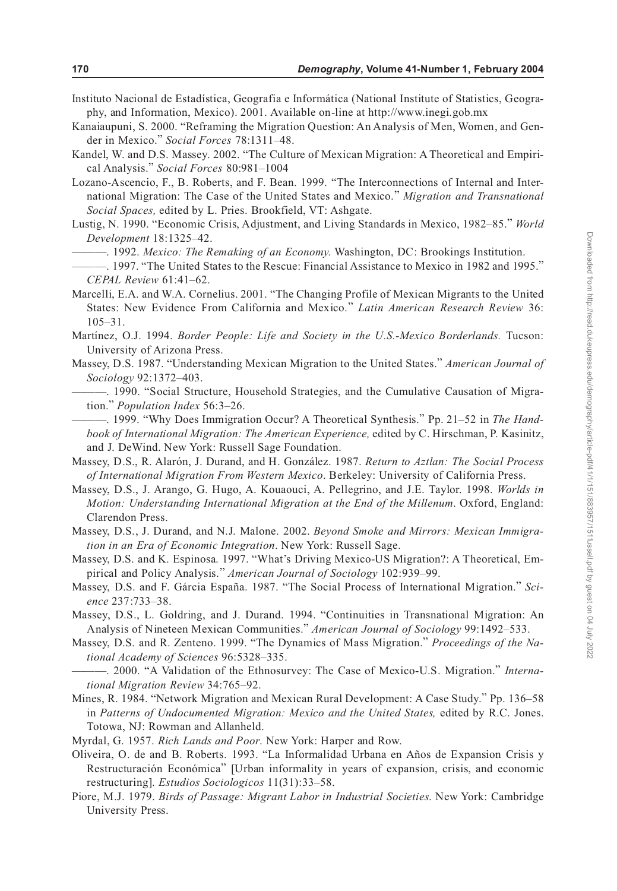- Instituto Nacional de Estadística, Geografia e Informática (National Institute of Statistics, Geography, and Information, Mexico). 2001. Available on-line at http://www.inegi.gob.mx
- Kanaiaupuni, S. 2000. "Reframing the Migration Question: An Analysis of Men, Women, and Gender in Mexico." *Social Forces* 78:1311–48.
- Kandel, W. and D.S. Massey. 2002. "The Culture of Mexican Migration: A Theoretical and Empirical Analysis." *Social Forces* 80:981–1004
- Lozano-Ascencio, F., B. Roberts, and F. Bean. 1999. "The Interconnections of Internal and International Migration: The Case of the United States and Mexico." *Migration and Transnational Social Spaces,* edited by L. Pries. Brookfield, VT: Ashgate.
- Lustig, N. 1990. "Economic Crisis, Adjustment, and Living Standards in Mexico, 1982–85." *World Development* 18:1325–42.
	- ———. 1992. *Mexico: The Remaking of an Economy.* Washington, DC: Brookings Institution.
- ———. 1997. "The United States to the Rescue: Financial Assistance to Mexico in 1982 and 1995." *CEPAL Review* 61:41–62.
- Marcelli, E.A. and W.A. Cornelius. 2001. "The Changing Profile of Mexican Migrants to the United States: New Evidence From California and Mexico." *Latin American Research Review* 36: 105–31.
- Martínez, O.J. 1994. *Border People: Life and Society in the U.S.-Mexico Borderlands.* Tucson: University of Arizona Press.
- Massey, D.S. 1987. "Understanding Mexican Migration to the United States." *American Journal of Sociology* 92:1372–403.
- ———. 1990. "Social Structure, Household Strategies, and the Cumulative Causation of Migration." *Population Index* 56:3–26.
- ———. 1999. "Why Does Immigration Occur? A Theoretical Synthesis." Pp. 21–52 in *The Handbook of International Migration: The American Experience,* edited by C. Hirschman, P. Kasinitz, and J. DeWind. New York: Russell Sage Foundation.
- Massey, D.S., R. Alarón, J. Durand, and H. González. 1987. *Return to Aztlan: The Social Process of International Migration From Western Mexico*. Berkeley: University of California Press.
- Massey, D.S., J. Arango, G. Hugo, A. Kouaouci, A. Pellegrino, and J.E. Taylor. 1998. *Worlds in Motion: Understanding International Migration at the End of the Millenum*. Oxford, England: Clarendon Press.
- Massey, D.S., J. Durand, and N.J. Malone. 2002. *Beyond Smoke and Mirrors: Mexican Immigration in an Era of Economic Integration*. New York: Russell Sage.
- Massey, D.S. and K. Espinosa. 1997. "What's Driving Mexico-US Migration?: A Theoretical, Empirical and Policy Analysis." *American Journal of Sociology* 102:939–99.
- Massey, D.S. and F. Gárcia España. 1987. "The Social Process of International Migration." *Science* 237:733–38.
- Massey, D.S., L. Goldring, and J. Durand. 1994. "Continuities in Transnational Migration: An Analysis of Nineteen Mexican Communities." *American Journal of Sociology* 99:1492–533.
- Massey, D.S. and R. Zenteno. 1999. "The Dynamics of Mass Migration." *Proceedings of the National Academy of Sciences* 96:5328–335.
- ———. 2000. "A Validation of the Ethnosurvey: The Case of Mexico-U.S. Migration." *International Migration Review* 34:765–92.
- Mines, R. 1984. "Network Migration and Mexican Rural Development: A Case Study." Pp. 136–58 in Patterns of Undocumented Migration: Mexico and the United States, edited by R.C. Jones. Totowa, NJ: Rowman and Allanheld.
- Myrdal, G. 1957. *Rich Lands and Poor*. New York: Harper and Row.
- Oliveira, O. de and B. Roberts. 1993. "La Informalidad Urbana en Años de Expansion Crisis y Restructuración Económica" [Urban informality in years of expansion, crisis, and economic restructuring]. *Estudios Sociologicos* 11(31):33–58.
- Piore, M.J. 1979. *Birds of Passage: Migrant Labor in Industrial Societies*. New York: Cambridge University Press.